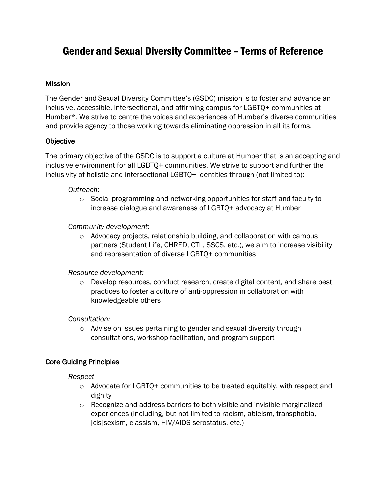# Gender and Sexual Diversity Committee – Terms of Reference

## **Mission**

The Gender and Sexual Diversity Committee's (GSDC) mission is to foster and advance an inclusive, accessible, intersectional, and affirming campus for LGBTQ+ communities at Humber\*. We strive to centre the voices and experiences of Humber's diverse communities and provide agency to those working towards eliminating oppression in all its forms.

## **Objective**

The primary objective of the GSDC is to support a culture at Humber that is an accepting and inclusive environment for all LGBTQ+ communities. We strive to support and further the inclusivity of holistic and intersectional LGBTQ+ identities through (not limited to):

## *Outreach*:

 $\circ$  Social programming and networking opportunities for staff and faculty to increase dialogue and awareness of LGBTQ+ advocacy at Humber

# *Community development:*

o Advocacy projects, relationship building, and collaboration with campus partners (Student Life, CHRED, CTL, SSCS, etc.), we aim to increase visibility and representation of diverse LGBTQ+ communities

## *Resource development:*

 $\circ$  Develop resources, conduct research, create digital content, and share best practices to foster a culture of anti-oppression in collaboration with knowledgeable others

## *Consultation:*

o Advise on issues pertaining to gender and sexual diversity through consultations, workshop facilitation, and program support

# Core Guiding Principles

*Respect*

- $\circ$  Advocate for LGBTQ+ communities to be treated equitably, with respect and dignity
- $\circ$  Recognize and address barriers to both visible and invisible marginalized experiences (including, but not limited to racism, ableism, transphobia, [cis]sexism, classism, HIV/AIDS serostatus, etc.)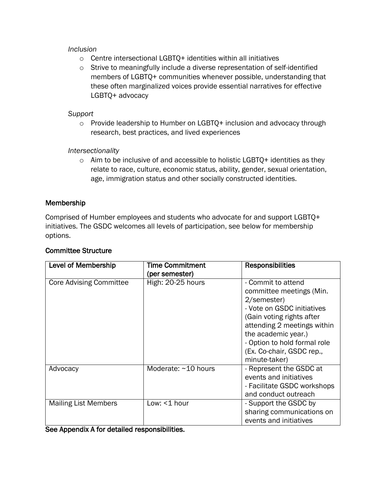#### *Inclusion*

- $\circ$  Centre intersectional LGBTQ+ identities within all initiatives
- o Strive to meaningfully include a diverse representation of self-identified members of LGBTQ+ communities whenever possible, understanding that these often marginalized voices provide essential narratives for effective LGBTQ+ advocacy

## *Support*

o Provide leadership to Humber on LGBTQ+ inclusion and advocacy through research, best practices, and lived experiences

# *Intersectionality*

 $\circ$  Aim to be inclusive of and accessible to holistic LGBTQ+ identities as they relate to race, culture, economic status, ability, gender, sexual orientation, age, immigration status and other socially constructed identities.

# Membership

Comprised of Humber employees and students who advocate for and support LGBTQ+ initiatives. The GSDC welcomes all levels of participation, see below for membership options.

| <b>Level of Membership</b>                                                  | <b>Time Commitment</b><br>(per semester) | <b>Responsibilities</b>                                                                                                                                                                                                                                      |
|-----------------------------------------------------------------------------|------------------------------------------|--------------------------------------------------------------------------------------------------------------------------------------------------------------------------------------------------------------------------------------------------------------|
| <b>Core Advising Committee</b>                                              | High: 20-25 hours                        | - Commit to attend<br>committee meetings (Min.<br>2/semester)<br>- Vote on GSDC initiatives<br>(Gain voting rights after<br>attending 2 meetings within<br>the academic year.)<br>- Option to hold formal role<br>(Ex. Co-chair, GSDC rep.,<br>minute-taker) |
| Advocacy                                                                    | Moderate: ~10 hours                      | - Represent the GSDC at<br>events and initiatives<br>- Facilitate GSDC workshops<br>and conduct outreach                                                                                                                                                     |
| <b>Mailing List Members</b><br>Coo Annondiy A for dotailed reononaibilities | Low: <1 hour                             | - Support the GSDC by<br>sharing communications on<br>events and initiatives                                                                                                                                                                                 |

## Committee Structure

See Appendix A for detailed responsibilities.